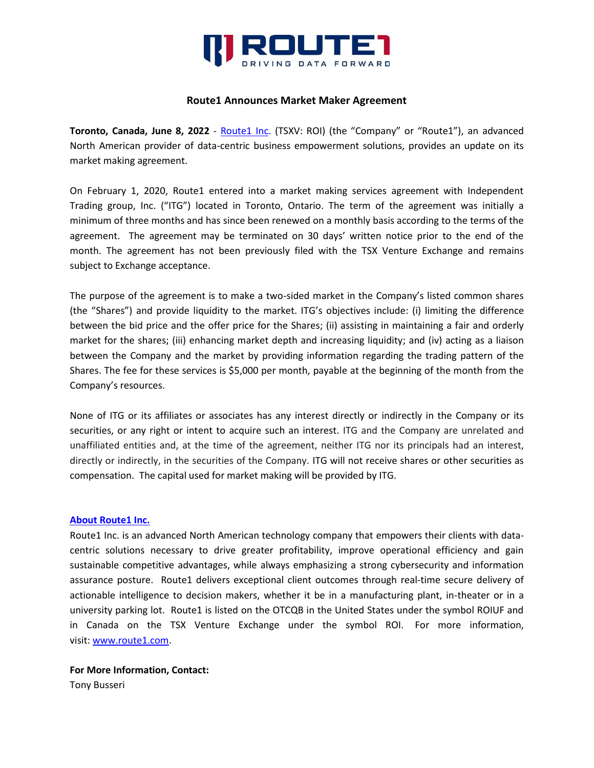

## **Route1 Announces Market Maker Agreement**

**Toronto, Canada, June 8, 2022** - [Route1 Inc.](http://www.route1.com/) (TSXV: ROI) (the "Company" or "Route1"), an advanced North American provider of data-centric business empowerment solutions, provides an update on its market making agreement.

On February 1, 2020, Route1 entered into a market making services agreement with Independent Trading group, Inc. ("ITG") located in Toronto, Ontario. The term of the agreement was initially a minimum of three months and has since been renewed on a monthly basis according to the terms of the agreement. The agreement may be terminated on 30 days' written notice prior to the end of the month. The agreement has not been previously filed with the TSX Venture Exchange and remains subject to Exchange acceptance.

The purpose of the agreement is to make a two-sided market in the Company's listed common shares (the "Shares") and provide liquidity to the market. ITG's objectives include: (i) limiting the difference between the bid price and the offer price for the Shares; (ii) assisting in maintaining a fair and orderly market for the shares; (iii) enhancing market depth and increasing liquidity; and (iv) acting as a liaison between the Company and the market by providing information regarding the trading pattern of the Shares. The fee for these services is \$5,000 per month, payable at the beginning of the month from the Company's resources.

None of ITG or its affiliates or associates has any interest directly or indirectly in the Company or its securities, or any right or intent to acquire such an interest. ITG and the Company are unrelated and unaffiliated entities and, at the time of the agreement, neither ITG nor its principals had an interest, directly or indirectly, in the securities of the Company. ITG will not receive shares or other securities as compensation. The capital used for market making will be provided by ITG.

## **[About Route1 Inc.](http://www.route1.com/)**

Route1 Inc. is an advanced North American technology company that empowers their clients with datacentric solutions necessary to drive greater profitability, improve operational efficiency and gain sustainable competitive advantages, while always emphasizing a strong cybersecurity and information assurance posture. Route1 delivers exceptional client outcomes through real-time secure delivery of actionable intelligence to decision makers, whether it be in a manufacturing plant, in-theater or in a university parking lot. Route1 is listed on the OTCQB in the United States under the symbol ROIUF and in Canada on the TSX Venture Exchange under the symbol ROI. For more information, visit: [www.route1.com.](http://www.route1.com/)

**For More Information, Contact:** Tony Busseri